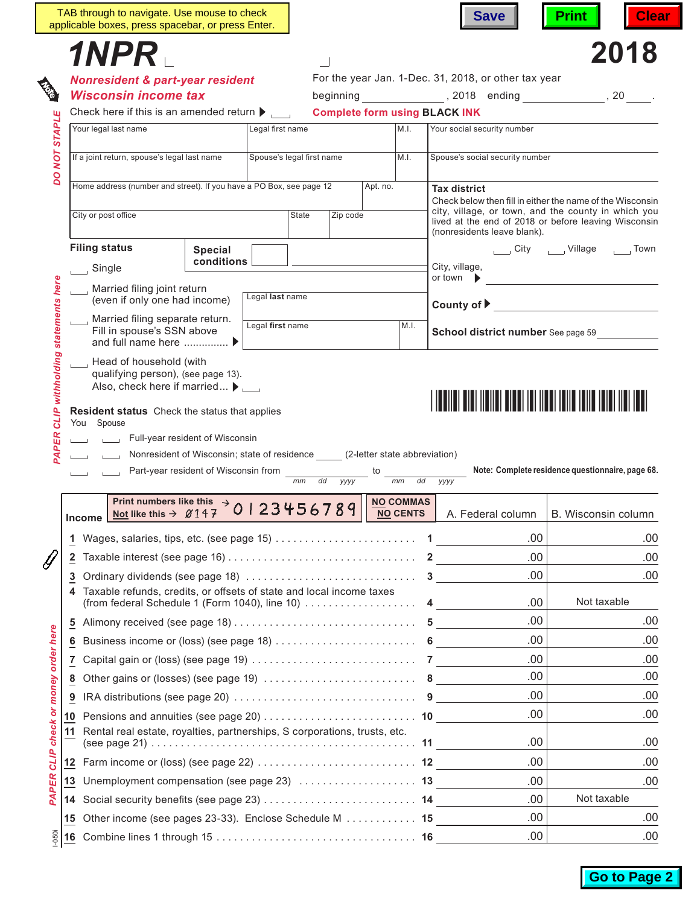|                                  |    | TAB through to navigate. Use mouse to check<br>applicable boxes, press spacebar, or press Enter.                 |                              |                  |                           |          |          |                  | <b>Save</b>                                          | <b>Clear</b><br><b>Print</b>                                                                                |  |  |  |
|----------------------------------|----|------------------------------------------------------------------------------------------------------------------|------------------------------|------------------|---------------------------|----------|----------|------------------|------------------------------------------------------|-------------------------------------------------------------------------------------------------------------|--|--|--|
|                                  |    | 1NPR .                                                                                                           |                              |                  |                           |          |          |                  |                                                      | 2018                                                                                                        |  |  |  |
|                                  |    | <b>Nonresident &amp; part-year resident</b>                                                                      |                              |                  |                           |          |          |                  | For the year Jan. 1-Dec. 31, 2018, or other tax year |                                                                                                             |  |  |  |
|                                  |    | <b>Wisconsin income tax</b>                                                                                      |                              |                  |                           |          |          |                  |                                                      |                                                                                                             |  |  |  |
|                                  |    | Check here if this is an amended return $\blacktriangleright$ ,                                                  |                              |                  |                           |          |          |                  | <b>Complete form using BLACK INK</b>                 |                                                                                                             |  |  |  |
|                                  |    | Your legal last name                                                                                             |                              | Legal first name |                           |          |          | M.I.             | Your social security number                          |                                                                                                             |  |  |  |
| <b>NOT STAPLE</b>                |    |                                                                                                                  |                              |                  |                           |          |          |                  |                                                      |                                                                                                             |  |  |  |
|                                  |    | If a joint return, spouse's legal last name                                                                      |                              |                  | Spouse's legal first name |          |          | M.I.             | Spouse's social security number                      |                                                                                                             |  |  |  |
| oa                               |    | Home address (number and street). If you have a PO Box, see page 12                                              |                              |                  |                           |          | Apt. no. |                  | <b>Tax district</b>                                  |                                                                                                             |  |  |  |
|                                  |    |                                                                                                                  |                              |                  |                           |          |          |                  |                                                      | Check below then fill in either the name of the Wisconsin                                                   |  |  |  |
|                                  |    | City or post office                                                                                              |                              |                  | State                     | Zip code |          |                  |                                                      | city, village, or town, and the county in which you<br>lived at the end of 2018 or before leaving Wisconsin |  |  |  |
|                                  |    |                                                                                                                  |                              |                  |                           |          |          |                  | (nonresidents leave blank).                          |                                                                                                             |  |  |  |
|                                  |    | <b>Filing status</b>                                                                                             | <b>Special</b><br>conditions |                  |                           |          |          |                  |                                                      | City _____ Village<br>Town <b>Town</b>                                                                      |  |  |  |
|                                  |    | $\Box$ Single                                                                                                    |                              |                  |                           |          |          |                  | City, village,<br>or town $\blacktriangleright$      |                                                                                                             |  |  |  |
|                                  |    | Married filing joint return<br>(even if only one had income)                                                     |                              | Legal last name  |                           |          |          |                  |                                                      |                                                                                                             |  |  |  |
|                                  |    |                                                                                                                  |                              |                  |                           |          |          |                  | County of ▶ <u>_________________</u>                 |                                                                                                             |  |  |  |
|                                  |    | Married filing separate return.<br>Fill in spouse's SSN above                                                    |                              | Legal first name |                           |          |          | M.I.             | <b>School district number</b> See page 59            |                                                                                                             |  |  |  |
|                                  |    | and full name here  ▶                                                                                            |                              |                  |                           |          |          |                  |                                                      |                                                                                                             |  |  |  |
|                                  |    | Head of household (with<br>qualifying person), (see page 13).                                                    |                              |                  |                           |          |          |                  |                                                      |                                                                                                             |  |  |  |
|                                  |    | Also, check here if married $\blacktriangleright$<br><u> I BENET BIBI MEMEL BIBBI IBI MERI MAMB MEMELINI MEM</u> |                              |                  |                           |          |          |                  |                                                      |                                                                                                             |  |  |  |
|                                  |    |                                                                                                                  |                              |                  |                           |          |          |                  |                                                      |                                                                                                             |  |  |  |
|                                  |    | <b>Resident status</b> Check the status that applies                                                             |                              |                  |                           |          |          |                  |                                                      |                                                                                                             |  |  |  |
| CLIP withholding statements here |    | You Spouse<br>Full-year resident of Wisconsin                                                                    |                              |                  |                           |          |          |                  |                                                      |                                                                                                             |  |  |  |
|                                  |    | Nonresident of Wisconsin; state of residence (2-letter state abbreviation)                                       |                              |                  |                           |          |          |                  |                                                      |                                                                                                             |  |  |  |
| PAPER                            |    | Part-year resident of Wisconsin from                                                                             |                              |                  |                           |          |          |                  |                                                      | Note: Complete residence questionnaire, page 68.                                                            |  |  |  |
|                                  |    |                                                                                                                  |                              |                  | $mm$ dd                   | yyyy     |          | mm<br>dd         | УУУУ                                                 |                                                                                                             |  |  |  |
|                                  |    |                                                                                                                  |                              |                  |                           |          |          | <b>NO COMMAS</b> |                                                      |                                                                                                             |  |  |  |
|                                  |    | Print numbers like this $\rightarrow$ 0 1 2 3 4 5 6 7 8 9<br>Income Mot like this $\rightarrow$ Ø147             |                              |                  |                           |          |          | <b>NO CENTS</b>  | A. Federal column                                    | B. Wisconsin column                                                                                         |  |  |  |
|                                  | 1. |                                                                                                                  |                              |                  |                           |          |          |                  | .00                                                  | .00                                                                                                         |  |  |  |
|                                  | 2  |                                                                                                                  |                              |                  |                           |          |          |                  | .00                                                  | .00                                                                                                         |  |  |  |
|                                  | 3  |                                                                                                                  |                              |                  |                           |          |          |                  | .00                                                  | .00                                                                                                         |  |  |  |
|                                  | 4  | Taxable refunds, credits, or offsets of state and local income taxes                                             |                              |                  |                           |          |          |                  |                                                      |                                                                                                             |  |  |  |
|                                  |    | (from federal Schedule 1 (Form 1040), line 10) $\dots\dots\dots\dots\dots\dots$                                  |                              |                  |                           |          |          |                  | .00                                                  | Not taxable                                                                                                 |  |  |  |
|                                  |    |                                                                                                                  |                              |                  |                           |          |          |                  | .00                                                  | .00                                                                                                         |  |  |  |
|                                  | 6  |                                                                                                                  |                              |                  |                           |          |          |                  | .00                                                  | .00                                                                                                         |  |  |  |
|                                  | 7. |                                                                                                                  |                              |                  |                           |          |          |                  | .00                                                  | .00                                                                                                         |  |  |  |
|                                  | 8  |                                                                                                                  |                              |                  |                           |          |          |                  | .00.                                                 | .00                                                                                                         |  |  |  |
|                                  | 9  |                                                                                                                  |                              |                  |                           |          |          |                  | .00                                                  | .00                                                                                                         |  |  |  |
|                                  |    | 10 Pensions and annuities (see page 20) $\dots\dots\dots\dots\dots\dots\dots\dots\dots$                          |                              |                  |                           |          |          |                  | .00                                                  | .00                                                                                                         |  |  |  |
|                                  | 11 | Rental real estate, royalties, partnerships, S corporations, trusts, etc.                                        |                              |                  |                           |          |          |                  | .00                                                  | .00                                                                                                         |  |  |  |
| CLIP check or money order here   |    |                                                                                                                  |                              |                  |                           |          |          |                  | .00                                                  | .00                                                                                                         |  |  |  |
|                                  |    | 13 Unemployment compensation (see page 23)  13                                                                   |                              |                  |                           |          |          |                  | .00                                                  | .00                                                                                                         |  |  |  |
| PAPER                            |    |                                                                                                                  |                              |                  |                           |          |          |                  | .00                                                  | Not taxable                                                                                                 |  |  |  |
|                                  | 15 | Other income (see pages 23-33). Enclose Schedule M 15                                                            |                              |                  |                           |          |          |                  | .00                                                  | .00                                                                                                         |  |  |  |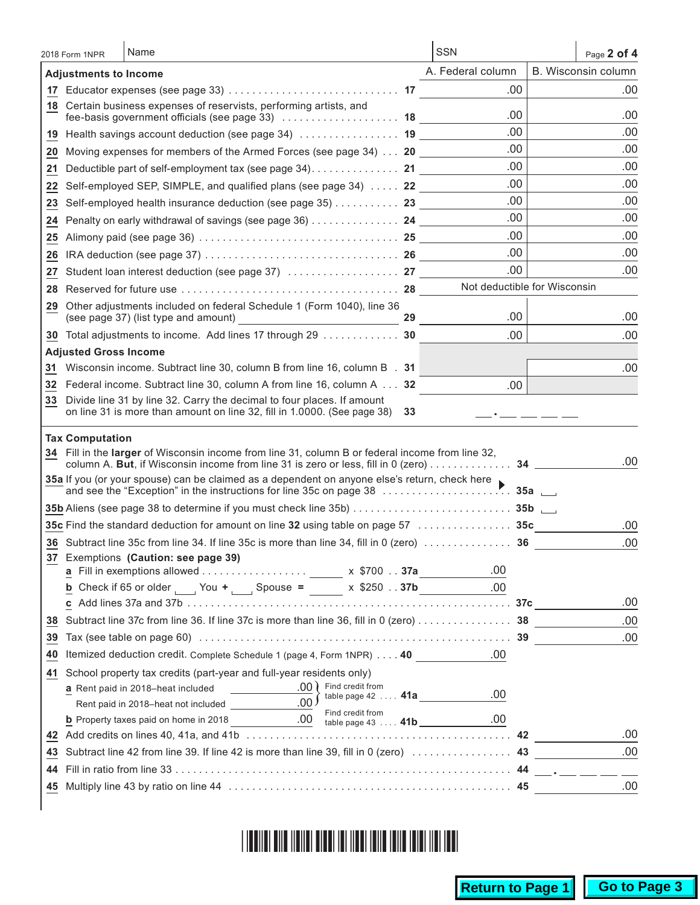| B. Wisconsin column<br>A. Federal column<br><b>Adjustments to Income</b><br>.00<br>18 Certain business expenses of reservists, performing artists, and<br>.00<br>.00<br>fee-basis government officials (see page 33)  18<br>.00<br>.00<br>19 Health savings account deduction (see page 34)  19<br>.00<br>.00<br>20 Moving expenses for members of the Armed Forces (see page 34) 20<br>.00<br>.00<br>Deductible part of self-employment tax (see page 34). 21<br>21<br>.00<br>.00<br>Self-employed SEP, SIMPLE, and qualified plans (see page 34)  22<br>22<br>.00<br>.00<br>Self-employed health insurance deduction (see page 35) 23<br>23<br>.00<br>.00<br>Penalty on early withdrawal of savings (see page 36) 24<br>24<br>.00<br>.00<br>25<br>.00.<br>.00<br>26<br>.00<br>.00<br>27<br>Not deductible for Wisconsin<br>28<br>Other adjustments included on federal Schedule 1 (Form 1040), line 36<br>29.<br>.00<br>.00<br>29<br>30 Total adjustments to income. Add lines 17 through 29 30<br>.00<br>.00<br><b>Adjusted Gross Income</b><br>Wisconsin income. Subtract line 30, column B from line 16, column B . 31<br>31<br>32 Federal income. Subtract line 30, column A from line 16, column A 32<br>.00.<br>Divide line 31 by line 32. Carry the decimal to four places. If amount<br>33.<br>on line 31 is more than amount on line 32, fill in 1.0000. (See page 38)<br>33<br><b>Tax Computation</b><br>34 Fill in the larger of Wisconsin income from line 31, column B or federal income from line 32,<br>.00<br>column A. But, if Wisconsin income from line 31 is zero or less, fill in 0 (zero) 34 ____<br>35a If you (or your spouse) can be claimed as a dependent on anyone else's return, check here ▶<br>35c Find the standard deduction for amount on line 32 using table on page 57 $\ldots \ldots \ldots \ldots$ 35c<br>.00<br>.00<br>36 Subtract line 35c from line 34. If line 35c is more than line 34, fill in 0 (zero) $\dots\dots\dots\dots$ 36<br>37 Exemptions (Caution: see page 39)<br>.00<br><b>b</b> Check if 65 or older $\frac{1}{2}$ You + $\frac{1}{2}$ Spouse = $\frac{1}{2}$ x \$250 37b<br>.00<br>.00<br>Subtract line 37c from line 36. If line 37c is more than line 36, fill in 0 (zero) 38<br>.00<br>38<br>.00<br>39<br>Itemized deduction credit. Complete Schedule 1 (page 4, Form 1NPR) 40<br>.00<br>40<br>School property tax credits (part-year and full-year residents only)<br>41<br><b>a</b> Rent paid in 2018–heat included $\underline{\hspace{1cm}}$ .00 $\Big\}$ Find credit from<br>.00<br>table page $42$ $41a$<br><b>b</b> Property taxes paid on home in 2018<br><b>b</b> Property taxes paid on home in 2018<br><b>b</b> Property taxes paid on home in 2018<br>.00<br>43<br>44<br>.00 | 2018 Form 1NPR | Name | <b>SSN</b> | Page 2 of 4 |
|----------------------------------------------------------------------------------------------------------------------------------------------------------------------------------------------------------------------------------------------------------------------------------------------------------------------------------------------------------------------------------------------------------------------------------------------------------------------------------------------------------------------------------------------------------------------------------------------------------------------------------------------------------------------------------------------------------------------------------------------------------------------------------------------------------------------------------------------------------------------------------------------------------------------------------------------------------------------------------------------------------------------------------------------------------------------------------------------------------------------------------------------------------------------------------------------------------------------------------------------------------------------------------------------------------------------------------------------------------------------------------------------------------------------------------------------------------------------------------------------------------------------------------------------------------------------------------------------------------------------------------------------------------------------------------------------------------------------------------------------------------------------------------------------------------------------------------------------------------------------------------------------------------------------------------------------------------------------------------------------------------------------------------------------------------------------------------------------------------------------------------------------------------------------------------------------------------------------------------------------------------------------------------------------------------------------------------------------------------------------------------------------------------------------------------------------------------------------------------------------------------------------------------------------------------------------------------------------------------------------------------------------------------------------------------------------------------------------------------------------------------|----------------|------|------------|-------------|
|                                                                                                                                                                                                                                                                                                                                                                                                                                                                                                                                                                                                                                                                                                                                                                                                                                                                                                                                                                                                                                                                                                                                                                                                                                                                                                                                                                                                                                                                                                                                                                                                                                                                                                                                                                                                                                                                                                                                                                                                                                                                                                                                                                                                                                                                                                                                                                                                                                                                                                                                                                                                                                                                                                                                                          |                |      |            |             |
| .00.                                                                                                                                                                                                                                                                                                                                                                                                                                                                                                                                                                                                                                                                                                                                                                                                                                                                                                                                                                                                                                                                                                                                                                                                                                                                                                                                                                                                                                                                                                                                                                                                                                                                                                                                                                                                                                                                                                                                                                                                                                                                                                                                                                                                                                                                                                                                                                                                                                                                                                                                                                                                                                                                                                                                                     |                |      |            | .00.        |
|                                                                                                                                                                                                                                                                                                                                                                                                                                                                                                                                                                                                                                                                                                                                                                                                                                                                                                                                                                                                                                                                                                                                                                                                                                                                                                                                                                                                                                                                                                                                                                                                                                                                                                                                                                                                                                                                                                                                                                                                                                                                                                                                                                                                                                                                                                                                                                                                                                                                                                                                                                                                                                                                                                                                                          |                |      |            |             |
|                                                                                                                                                                                                                                                                                                                                                                                                                                                                                                                                                                                                                                                                                                                                                                                                                                                                                                                                                                                                                                                                                                                                                                                                                                                                                                                                                                                                                                                                                                                                                                                                                                                                                                                                                                                                                                                                                                                                                                                                                                                                                                                                                                                                                                                                                                                                                                                                                                                                                                                                                                                                                                                                                                                                                          |                |      |            |             |
|                                                                                                                                                                                                                                                                                                                                                                                                                                                                                                                                                                                                                                                                                                                                                                                                                                                                                                                                                                                                                                                                                                                                                                                                                                                                                                                                                                                                                                                                                                                                                                                                                                                                                                                                                                                                                                                                                                                                                                                                                                                                                                                                                                                                                                                                                                                                                                                                                                                                                                                                                                                                                                                                                                                                                          |                |      |            |             |
|                                                                                                                                                                                                                                                                                                                                                                                                                                                                                                                                                                                                                                                                                                                                                                                                                                                                                                                                                                                                                                                                                                                                                                                                                                                                                                                                                                                                                                                                                                                                                                                                                                                                                                                                                                                                                                                                                                                                                                                                                                                                                                                                                                                                                                                                                                                                                                                                                                                                                                                                                                                                                                                                                                                                                          |                |      |            |             |
|                                                                                                                                                                                                                                                                                                                                                                                                                                                                                                                                                                                                                                                                                                                                                                                                                                                                                                                                                                                                                                                                                                                                                                                                                                                                                                                                                                                                                                                                                                                                                                                                                                                                                                                                                                                                                                                                                                                                                                                                                                                                                                                                                                                                                                                                                                                                                                                                                                                                                                                                                                                                                                                                                                                                                          |                |      |            |             |
|                                                                                                                                                                                                                                                                                                                                                                                                                                                                                                                                                                                                                                                                                                                                                                                                                                                                                                                                                                                                                                                                                                                                                                                                                                                                                                                                                                                                                                                                                                                                                                                                                                                                                                                                                                                                                                                                                                                                                                                                                                                                                                                                                                                                                                                                                                                                                                                                                                                                                                                                                                                                                                                                                                                                                          |                |      |            |             |
|                                                                                                                                                                                                                                                                                                                                                                                                                                                                                                                                                                                                                                                                                                                                                                                                                                                                                                                                                                                                                                                                                                                                                                                                                                                                                                                                                                                                                                                                                                                                                                                                                                                                                                                                                                                                                                                                                                                                                                                                                                                                                                                                                                                                                                                                                                                                                                                                                                                                                                                                                                                                                                                                                                                                                          |                |      |            |             |
|                                                                                                                                                                                                                                                                                                                                                                                                                                                                                                                                                                                                                                                                                                                                                                                                                                                                                                                                                                                                                                                                                                                                                                                                                                                                                                                                                                                                                                                                                                                                                                                                                                                                                                                                                                                                                                                                                                                                                                                                                                                                                                                                                                                                                                                                                                                                                                                                                                                                                                                                                                                                                                                                                                                                                          |                |      |            |             |
|                                                                                                                                                                                                                                                                                                                                                                                                                                                                                                                                                                                                                                                                                                                                                                                                                                                                                                                                                                                                                                                                                                                                                                                                                                                                                                                                                                                                                                                                                                                                                                                                                                                                                                                                                                                                                                                                                                                                                                                                                                                                                                                                                                                                                                                                                                                                                                                                                                                                                                                                                                                                                                                                                                                                                          |                |      |            |             |
|                                                                                                                                                                                                                                                                                                                                                                                                                                                                                                                                                                                                                                                                                                                                                                                                                                                                                                                                                                                                                                                                                                                                                                                                                                                                                                                                                                                                                                                                                                                                                                                                                                                                                                                                                                                                                                                                                                                                                                                                                                                                                                                                                                                                                                                                                                                                                                                                                                                                                                                                                                                                                                                                                                                                                          |                |      |            |             |
|                                                                                                                                                                                                                                                                                                                                                                                                                                                                                                                                                                                                                                                                                                                                                                                                                                                                                                                                                                                                                                                                                                                                                                                                                                                                                                                                                                                                                                                                                                                                                                                                                                                                                                                                                                                                                                                                                                                                                                                                                                                                                                                                                                                                                                                                                                                                                                                                                                                                                                                                                                                                                                                                                                                                                          |                |      |            |             |
|                                                                                                                                                                                                                                                                                                                                                                                                                                                                                                                                                                                                                                                                                                                                                                                                                                                                                                                                                                                                                                                                                                                                                                                                                                                                                                                                                                                                                                                                                                                                                                                                                                                                                                                                                                                                                                                                                                                                                                                                                                                                                                                                                                                                                                                                                                                                                                                                                                                                                                                                                                                                                                                                                                                                                          |                |      |            |             |
|                                                                                                                                                                                                                                                                                                                                                                                                                                                                                                                                                                                                                                                                                                                                                                                                                                                                                                                                                                                                                                                                                                                                                                                                                                                                                                                                                                                                                                                                                                                                                                                                                                                                                                                                                                                                                                                                                                                                                                                                                                                                                                                                                                                                                                                                                                                                                                                                                                                                                                                                                                                                                                                                                                                                                          |                |      |            |             |
|                                                                                                                                                                                                                                                                                                                                                                                                                                                                                                                                                                                                                                                                                                                                                                                                                                                                                                                                                                                                                                                                                                                                                                                                                                                                                                                                                                                                                                                                                                                                                                                                                                                                                                                                                                                                                                                                                                                                                                                                                                                                                                                                                                                                                                                                                                                                                                                                                                                                                                                                                                                                                                                                                                                                                          |                |      |            |             |
|                                                                                                                                                                                                                                                                                                                                                                                                                                                                                                                                                                                                                                                                                                                                                                                                                                                                                                                                                                                                                                                                                                                                                                                                                                                                                                                                                                                                                                                                                                                                                                                                                                                                                                                                                                                                                                                                                                                                                                                                                                                                                                                                                                                                                                                                                                                                                                                                                                                                                                                                                                                                                                                                                                                                                          |                |      |            | .00         |
|                                                                                                                                                                                                                                                                                                                                                                                                                                                                                                                                                                                                                                                                                                                                                                                                                                                                                                                                                                                                                                                                                                                                                                                                                                                                                                                                                                                                                                                                                                                                                                                                                                                                                                                                                                                                                                                                                                                                                                                                                                                                                                                                                                                                                                                                                                                                                                                                                                                                                                                                                                                                                                                                                                                                                          |                |      |            |             |
|                                                                                                                                                                                                                                                                                                                                                                                                                                                                                                                                                                                                                                                                                                                                                                                                                                                                                                                                                                                                                                                                                                                                                                                                                                                                                                                                                                                                                                                                                                                                                                                                                                                                                                                                                                                                                                                                                                                                                                                                                                                                                                                                                                                                                                                                                                                                                                                                                                                                                                                                                                                                                                                                                                                                                          |                |      |            |             |
|                                                                                                                                                                                                                                                                                                                                                                                                                                                                                                                                                                                                                                                                                                                                                                                                                                                                                                                                                                                                                                                                                                                                                                                                                                                                                                                                                                                                                                                                                                                                                                                                                                                                                                                                                                                                                                                                                                                                                                                                                                                                                                                                                                                                                                                                                                                                                                                                                                                                                                                                                                                                                                                                                                                                                          |                |      |            |             |
|                                                                                                                                                                                                                                                                                                                                                                                                                                                                                                                                                                                                                                                                                                                                                                                                                                                                                                                                                                                                                                                                                                                                                                                                                                                                                                                                                                                                                                                                                                                                                                                                                                                                                                                                                                                                                                                                                                                                                                                                                                                                                                                                                                                                                                                                                                                                                                                                                                                                                                                                                                                                                                                                                                                                                          |                |      |            |             |
|                                                                                                                                                                                                                                                                                                                                                                                                                                                                                                                                                                                                                                                                                                                                                                                                                                                                                                                                                                                                                                                                                                                                                                                                                                                                                                                                                                                                                                                                                                                                                                                                                                                                                                                                                                                                                                                                                                                                                                                                                                                                                                                                                                                                                                                                                                                                                                                                                                                                                                                                                                                                                                                                                                                                                          |                |      |            |             |
|                                                                                                                                                                                                                                                                                                                                                                                                                                                                                                                                                                                                                                                                                                                                                                                                                                                                                                                                                                                                                                                                                                                                                                                                                                                                                                                                                                                                                                                                                                                                                                                                                                                                                                                                                                                                                                                                                                                                                                                                                                                                                                                                                                                                                                                                                                                                                                                                                                                                                                                                                                                                                                                                                                                                                          |                |      |            |             |
|                                                                                                                                                                                                                                                                                                                                                                                                                                                                                                                                                                                                                                                                                                                                                                                                                                                                                                                                                                                                                                                                                                                                                                                                                                                                                                                                                                                                                                                                                                                                                                                                                                                                                                                                                                                                                                                                                                                                                                                                                                                                                                                                                                                                                                                                                                                                                                                                                                                                                                                                                                                                                                                                                                                                                          |                |      |            |             |
|                                                                                                                                                                                                                                                                                                                                                                                                                                                                                                                                                                                                                                                                                                                                                                                                                                                                                                                                                                                                                                                                                                                                                                                                                                                                                                                                                                                                                                                                                                                                                                                                                                                                                                                                                                                                                                                                                                                                                                                                                                                                                                                                                                                                                                                                                                                                                                                                                                                                                                                                                                                                                                                                                                                                                          |                |      |            |             |
|                                                                                                                                                                                                                                                                                                                                                                                                                                                                                                                                                                                                                                                                                                                                                                                                                                                                                                                                                                                                                                                                                                                                                                                                                                                                                                                                                                                                                                                                                                                                                                                                                                                                                                                                                                                                                                                                                                                                                                                                                                                                                                                                                                                                                                                                                                                                                                                                                                                                                                                                                                                                                                                                                                                                                          |                |      |            |             |
|                                                                                                                                                                                                                                                                                                                                                                                                                                                                                                                                                                                                                                                                                                                                                                                                                                                                                                                                                                                                                                                                                                                                                                                                                                                                                                                                                                                                                                                                                                                                                                                                                                                                                                                                                                                                                                                                                                                                                                                                                                                                                                                                                                                                                                                                                                                                                                                                                                                                                                                                                                                                                                                                                                                                                          |                |      |            |             |
|                                                                                                                                                                                                                                                                                                                                                                                                                                                                                                                                                                                                                                                                                                                                                                                                                                                                                                                                                                                                                                                                                                                                                                                                                                                                                                                                                                                                                                                                                                                                                                                                                                                                                                                                                                                                                                                                                                                                                                                                                                                                                                                                                                                                                                                                                                                                                                                                                                                                                                                                                                                                                                                                                                                                                          |                |      |            |             |
|                                                                                                                                                                                                                                                                                                                                                                                                                                                                                                                                                                                                                                                                                                                                                                                                                                                                                                                                                                                                                                                                                                                                                                                                                                                                                                                                                                                                                                                                                                                                                                                                                                                                                                                                                                                                                                                                                                                                                                                                                                                                                                                                                                                                                                                                                                                                                                                                                                                                                                                                                                                                                                                                                                                                                          |                |      |            |             |
|                                                                                                                                                                                                                                                                                                                                                                                                                                                                                                                                                                                                                                                                                                                                                                                                                                                                                                                                                                                                                                                                                                                                                                                                                                                                                                                                                                                                                                                                                                                                                                                                                                                                                                                                                                                                                                                                                                                                                                                                                                                                                                                                                                                                                                                                                                                                                                                                                                                                                                                                                                                                                                                                                                                                                          |                |      |            |             |
|                                                                                                                                                                                                                                                                                                                                                                                                                                                                                                                                                                                                                                                                                                                                                                                                                                                                                                                                                                                                                                                                                                                                                                                                                                                                                                                                                                                                                                                                                                                                                                                                                                                                                                                                                                                                                                                                                                                                                                                                                                                                                                                                                                                                                                                                                                                                                                                                                                                                                                                                                                                                                                                                                                                                                          |                |      |            |             |
|                                                                                                                                                                                                                                                                                                                                                                                                                                                                                                                                                                                                                                                                                                                                                                                                                                                                                                                                                                                                                                                                                                                                                                                                                                                                                                                                                                                                                                                                                                                                                                                                                                                                                                                                                                                                                                                                                                                                                                                                                                                                                                                                                                                                                                                                                                                                                                                                                                                                                                                                                                                                                                                                                                                                                          |                |      |            |             |
|                                                                                                                                                                                                                                                                                                                                                                                                                                                                                                                                                                                                                                                                                                                                                                                                                                                                                                                                                                                                                                                                                                                                                                                                                                                                                                                                                                                                                                                                                                                                                                                                                                                                                                                                                                                                                                                                                                                                                                                                                                                                                                                                                                                                                                                                                                                                                                                                                                                                                                                                                                                                                                                                                                                                                          |                |      |            |             |
|                                                                                                                                                                                                                                                                                                                                                                                                                                                                                                                                                                                                                                                                                                                                                                                                                                                                                                                                                                                                                                                                                                                                                                                                                                                                                                                                                                                                                                                                                                                                                                                                                                                                                                                                                                                                                                                                                                                                                                                                                                                                                                                                                                                                                                                                                                                                                                                                                                                                                                                                                                                                                                                                                                                                                          |                |      |            |             |
|                                                                                                                                                                                                                                                                                                                                                                                                                                                                                                                                                                                                                                                                                                                                                                                                                                                                                                                                                                                                                                                                                                                                                                                                                                                                                                                                                                                                                                                                                                                                                                                                                                                                                                                                                                                                                                                                                                                                                                                                                                                                                                                                                                                                                                                                                                                                                                                                                                                                                                                                                                                                                                                                                                                                                          |                |      |            |             |
|                                                                                                                                                                                                                                                                                                                                                                                                                                                                                                                                                                                                                                                                                                                                                                                                                                                                                                                                                                                                                                                                                                                                                                                                                                                                                                                                                                                                                                                                                                                                                                                                                                                                                                                                                                                                                                                                                                                                                                                                                                                                                                                                                                                                                                                                                                                                                                                                                                                                                                                                                                                                                                                                                                                                                          |                |      |            |             |
|                                                                                                                                                                                                                                                                                                                                                                                                                                                                                                                                                                                                                                                                                                                                                                                                                                                                                                                                                                                                                                                                                                                                                                                                                                                                                                                                                                                                                                                                                                                                                                                                                                                                                                                                                                                                                                                                                                                                                                                                                                                                                                                                                                                                                                                                                                                                                                                                                                                                                                                                                                                                                                                                                                                                                          |                |      |            |             |
|                                                                                                                                                                                                                                                                                                                                                                                                                                                                                                                                                                                                                                                                                                                                                                                                                                                                                                                                                                                                                                                                                                                                                                                                                                                                                                                                                                                                                                                                                                                                                                                                                                                                                                                                                                                                                                                                                                                                                                                                                                                                                                                                                                                                                                                                                                                                                                                                                                                                                                                                                                                                                                                                                                                                                          |                |      |            |             |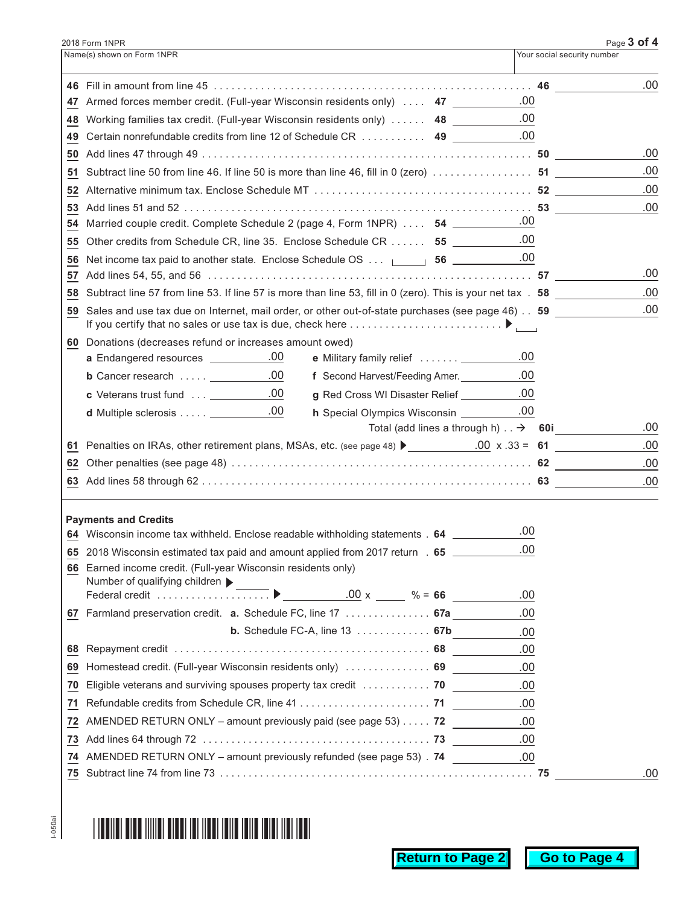|    | 2018 Form 1NPR                                                                                                 | Page 3 of 4                 |      |
|----|----------------------------------------------------------------------------------------------------------------|-----------------------------|------|
|    | Name(s) shown on Form 1NPR                                                                                     | Your social security number |      |
|    | 46 Fill in amount from line 45 …………………………………………………………………… 46                                                   |                             | .00. |
|    | 47 Armed forces member credit. (Full-year Wisconsin residents only)  47                                        | .00                         |      |
|    | 48 Working families tax credit. (Full-year Wisconsin residents only)  48 __________.00                         |                             |      |
|    | 49 Certain nonrefundable credits from line 12 of Schedule CR  49                                               | .00                         |      |
|    |                                                                                                                |                             | .00  |
|    |                                                                                                                |                             | .00  |
| 52 |                                                                                                                |                             | .00  |
|    |                                                                                                                |                             | .00  |
|    | 54 Married couple credit. Complete Schedule 2 (page 4, Form 1NPR)  54                                          | .00                         |      |
| 55 | Other credits from Schedule CR, line 35. Enclose Schedule CR 55 ___________.00                                 |                             |      |
| 56 | Net income tax paid to another state. Enclose Schedule OS <b>66</b> ____________00                             |                             |      |
|    |                                                                                                                |                             | .00  |
| 58 | Subtract line 57 from line 53. If line 57 is more than line 53, fill in 0 (zero). This is your net tax . 58    |                             | .00  |
| 59 | Sales and use tax due on Internet, mail order, or other out-of-state purchases (see page 46). 59               |                             | .00  |
|    | 60 Donations (decreases refund or increases amount owed)                                                       |                             |      |
|    | a Endangered resources __________.00<br>e Military family relief  ___________.00                               |                             |      |
|    | <b>b</b> Cancer research $\ldots$ $\underline{\hspace{1cm}}$ .00<br>f Second Harvest/Feeding Amer. 100         |                             |      |
|    | <b>c</b> Veterans trust fund  ___________.00<br>g Red Cross WI Disaster Relief ___________.00                  |                             |      |
|    | d Multiple sclerosis ____________.00<br>h Special Olympics Wisconsin ___________.00                            |                             |      |
|    | Total (add lines a through h) $\therefore$ $\rightarrow$ 60i                                                   |                             | .00  |
|    | 61 Penalties on IRAs, other retirement plans, MSAs, etc. (see page 48) $\bigcup_{n=1}^{\infty}$ .00 x .33 = 61 |                             | .00  |
|    |                                                                                                                |                             | .00  |
|    |                                                                                                                |                             | .00  |
|    | <b>Payments and Credits</b>                                                                                    |                             |      |
|    | 64 Wisconsin income tax withheld. Enclose readable withholding statements . 64 ________                        | .00                         |      |
|    | 65 2018 Wisconsin estimated tax paid and amount applied from 2017 return . 65 _______                          | .00                         |      |
|    | 66 Earned income credit. (Full-year Wisconsin residents only)<br>Number of qualifying children ▶               |                             |      |
|    | $.00 \times 96 = 66$                                                                                           | .00                         |      |
|    | 67 Farmland preservation credit. a. Schedule FC, line 17  67a                                                  | .00                         |      |
|    | <b>b.</b> Schedule FC-A, line $13$ 67b                                                                         | .00                         |      |
|    |                                                                                                                | .00                         |      |
|    | 69 Homestead credit. (Full-year Wisconsin residents only)  69                                                  | .00                         |      |
|    | 70 Eligible veterans and surviving spouses property tax credit  70                                             | .00                         |      |
| 71 |                                                                                                                | .00                         |      |
| 72 | AMENDED RETURN ONLY - amount previously paid (see page 53) 72                                                  | .00                         |      |
| 73 |                                                                                                                | .00                         |      |
|    | 74 AMENDED RETURN ONLY - amount previously refunded (see page 53) . 74                                         | .00                         |      |
|    |                                                                                                                |                             | .00. |